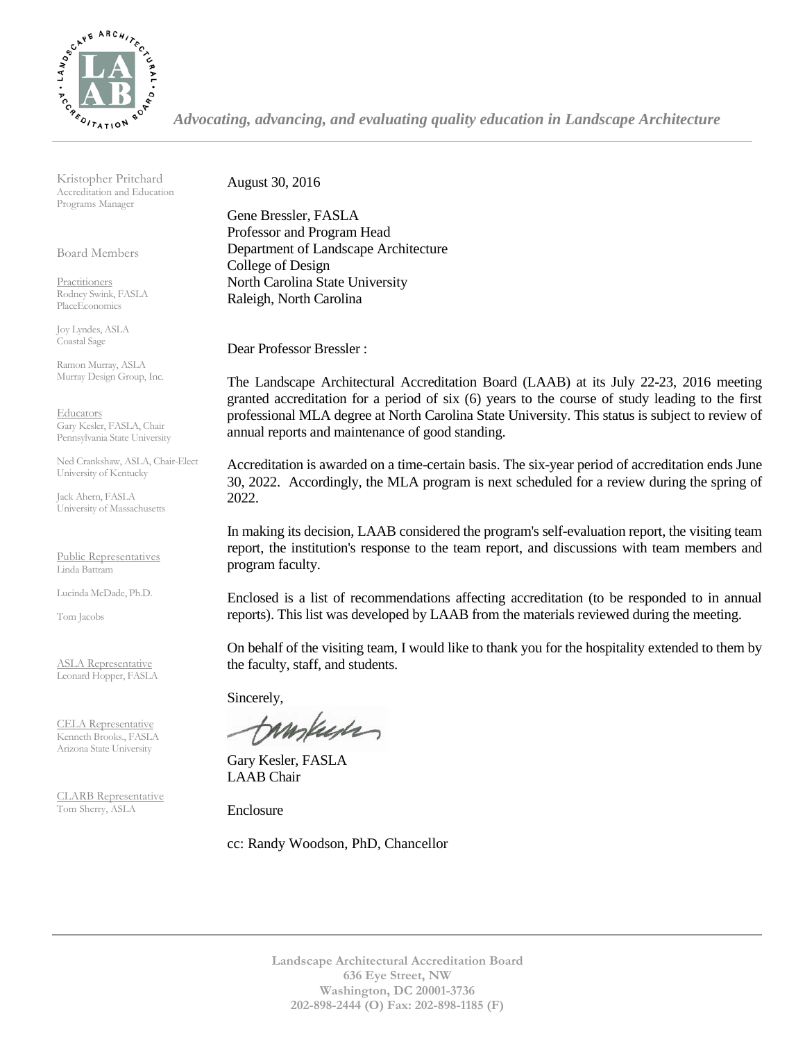

*Advocating, advancing, and evaluating quality education in Landscape Architecture*

Kristopher Pritchard Accreditation and Education Programs Manager

Board Members

Practitioners Rodney Swink, FASLA PlaceEconomics

Joy Lyndes, ASLA Coastal Sage

Ramon Murray, ASLA Murray Design Group, Inc.

Educators Gary Kesler, FASLA, Chair Pennsylvania State University

Ned Crankshaw, ASLA, Chair-Elect University of Kentucky

Jack Ahern, FASLA University of Massachusetts

Public Representatives Linda Battram

Lucinda McDade, Ph.D.

Tom Jacobs

ASLA Representative Leonard Hopper, FASLA

CELA Representative Kenneth Brooks., FASLA Arizona State University

CLARB Representative Tom Sherry, ASLA

August 30, 2016

Gene Bressler, FASLA Professor and Program Head Department of Landscape Architecture College of Design North Carolina State University Raleigh, North Carolina

Dear Professor Bressler :

The Landscape Architectural Accreditation Board (LAAB) at its July 22-23, 2016 meeting granted accreditation for a period of six (6) years to the course of study leading to the first professional MLA degree at North Carolina State University. This status is subject to review of annual reports and maintenance of good standing.

Accreditation is awarded on a time-certain basis. The six-year period of accreditation ends June 30, 2022. Accordingly, the MLA program is next scheduled for a review during the spring of 2022.

In making its decision, LAAB considered the program's self-evaluation report, the visiting team report, the institution's response to the team report, and discussions with team members and program faculty.

Enclosed is a list of recommendations affecting accreditation (to be responded to in annual reports). This list was developed by LAAB from the materials reviewed during the meeting.

On behalf of the visiting team, I would like to thank you for the hospitality extended to them by the faculty, staff, and students.

Sincerely,

makuses

Gary Kesler, FASLA LAAB Chair

Enclosure

cc: Randy Woodson, PhD, Chancellor

**Landscape Architectural Accreditation Board 636 Eye Street, NW Washington, DC 20001-3736 202-898-2444 (O) Fax: 202-898-1185 (F)**